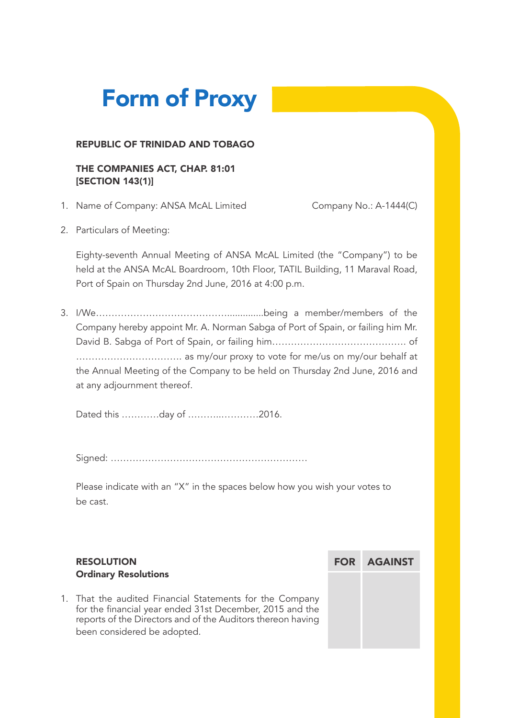# **Form of Proxy**

#### REPUBLIC OF TRINIDAD AND TOBAGO

#### THE COMPANIES ACT, CHAP. 81:01 [SECTION 143(1)]

1. Name of Company: ANSA McAL Limited Company No.: A-1444(C)

2. Particulars of Meeting:

Eighty-seventh Annual Meeting of ANSA McAL Limited (the "Company") to be held at the ANSA McAL Boardroom, 10th Floor, TATIL Building, 11 Maraval Road, Port of Spain on Thursday 2nd June, 2016 at 4:00 p.m.

3. I/We……………………………………..............being a member/members of the Company hereby appoint Mr. A. Norman Sabga of Port of Spain, or failing him Mr. David B. Sabga of Port of Spain, or failing him……………………………………. of ……………………………. as my/our proxy to vote for me/us on my/our behalf at the Annual Meeting of the Company to be held on Thursday 2nd June, 2016 and at any adjournment thereof.

Dated this …………day of ………..…………2016.

Signed: ………………………………………………………

Please indicate with an "X" in the spaces below how you wish your votes to be cast.

### RESOLUTION Ordinary Resolutions

1. That the audited Financial Statements for the Company for the financial year ended 31st December, 2015 and the reports of the Directors and of the Auditors thereon having been considered be adopted.

FOR AGAINST